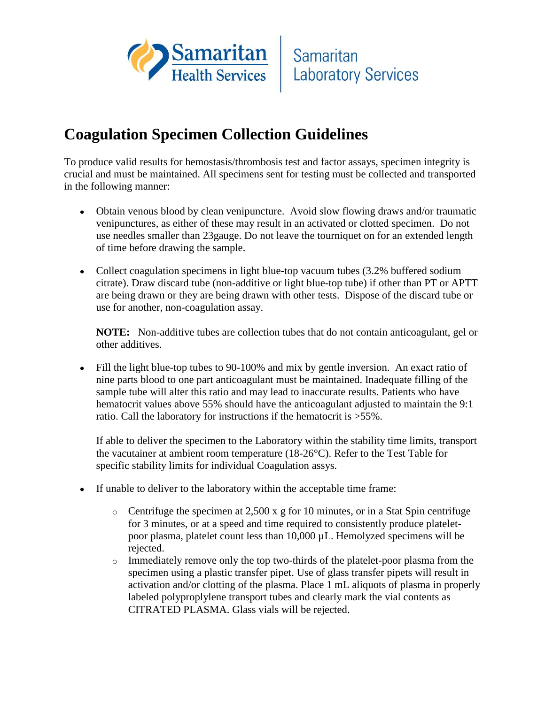

## **Coagulation Specimen Collection Guidelines**

To produce valid results for hemostasis/thrombosis test and factor assays, specimen integrity is crucial and must be maintained. All specimens sent for testing must be collected and transported in the following manner:

- Obtain venous blood by clean venipuncture. Avoid slow flowing draws and/or traumatic venipunctures, as either of these may result in an activated or clotted specimen. Do not use needles smaller than 23gauge. Do not leave the tourniquet on for an extended length of time before drawing the sample.
- Collect coagulation specimens in light blue-top vacuum tubes (3.2% buffered sodium citrate). Draw discard tube (non-additive or light blue-top tube) if other than PT or APTT are being drawn or they are being drawn with other tests. Dispose of the discard tube or use for another, non-coagulation assay.

**NOTE:** Non-additive tubes are collection tubes that do not contain anticoagulant, gel or other additives.

Fill the light blue-top tubes to 90-100% and mix by gentle inversion. An exact ratio of nine parts blood to one part anticoagulant must be maintained. Inadequate filling of the sample tube will alter this ratio and may lead to inaccurate results. Patients who have hematocrit values above 55% should have the anticoagulant adjusted to maintain the 9:1 ratio. Call the laboratory for instructions if the hematocrit is >55%.

If able to deliver the specimen to the Laboratory within the stability time limits, transport the vacutainer at ambient room temperature (18-26°C). Refer to the Test Table for specific stability limits for individual Coagulation assys.

- If unable to deliver to the laboratory within the acceptable time frame:  $\bullet$ 
	- $\circ$  Centrifuge the specimen at 2,500 x g for 10 minutes, or in a Stat Spin centrifuge for 3 minutes, or at a speed and time required to consistently produce plateletpoor plasma, platelet count less than 10,000 µL. Hemolyzed specimens will be rejected.
	- $\circ$  Immediately remove only the top two-thirds of the platelet-poor plasma from the specimen using a plastic transfer pipet. Use of glass transfer pipets will result in activation and/or clotting of the plasma. Place 1 mL aliquots of plasma in properly labeled polyproplylene transport tubes and clearly mark the vial contents as CITRATED PLASMA. Glass vials will be rejected.